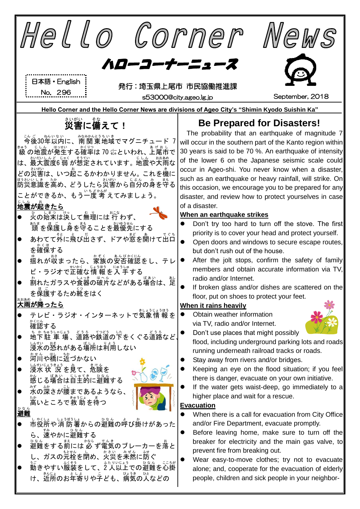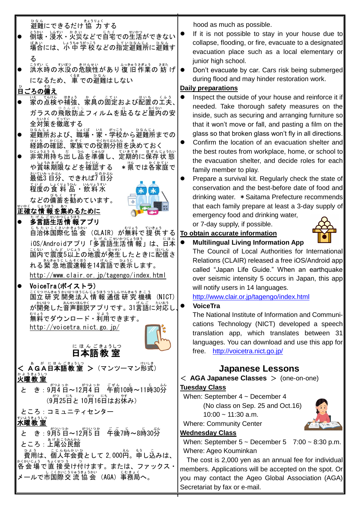

hood as much as possible.

- If it is not possible to stay in your house due to collapse, flooding, or fire, evacuate to a designated evacuation place such as a local elementary or junior high school.
- Don't evacuate by car. Cars risk being submerged during flood and may hinder restoration work.

## **Daily preparations**

- Inspect the outside of your house and reinforce it if needed. Take thorough safety measures on the inside, such as securing and arranging furniture so that it won't move or fall, and pasting a film on the glass so that broken glass won't fly in all directions.
- Confirm the location of an evacuation shelter and the best routes from workplace, home, or school to the evacuation shelter, and decide roles for each family member to play.
- Prepare a survival kit. Regularly check the state of conservation and the best-before date of food and drinking water. \*Saitama Prefecture recommends that each family prepare at least a 3-day supply of emergency food and drinking water,

or 7-day supply, if possible.



### **To obtain accurate information**

## **Multilingual Living Information App**

The Council of Local Authorities for International Relations (CLAIR) released a free iOS/Android app called "Japan Life Guide." When an earthquake over seismic intensity 5 occurs in Japan, this app will notify users in 14 languages.

## <http://www.clair.or.jp/tagengo/index.html>

The National Institute of Information and Communications Technology (NICT) developed a speech translation app, which translates between 31 languages. You can download and use this app for free. <http://voicetra.nict.go.jp/>

## **Japanese Lessons**

< **AGA Japanese Classes** > (one-on-one) **Tuesday Class**

When: September 4 ~ December 4 (No class on Sep. 25 and Oct.16)  $10:00 \sim 11:30$  a.m.

## **Wednesday Class**

When: September  $5 \sim$  December  $5 \sim 7:00 \sim 8:30$  p.m. Where: Ageo Kouminkan

The cost is 2,000 yen as an annual fee for individual members. Applications will be accepted on the spot. Or you may contact the Ageo Global Association (AGA) Secretariat by fax or e-mail.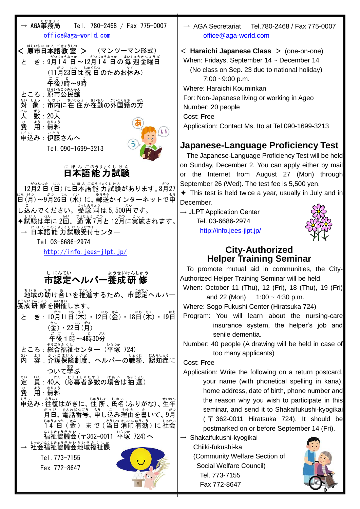| → AGA事務局<br>Tel. 780-2468 / Fax 775-0007<br>office@aga-world.com                                                                                                                                                                                                  | $\rightarrow$ AGA Secretariat<br>Tel.780-2468 / Fax 775-0007<br>office@aga-world.com                                                                                                                                                                                                                                                                                                                                                                                                                                              |
|-------------------------------------------------------------------------------------------------------------------------------------------------------------------------------------------------------------------------------------------------------------------|-----------------------------------------------------------------------------------------------------------------------------------------------------------------------------------------------------------------------------------------------------------------------------------------------------------------------------------------------------------------------------------------------------------------------------------------------------------------------------------------------------------------------------------|
| はらいちに ほん ごきょうしつ<br>く 原市日本語教<br>き:9月14 日~12月14 日の毎週金曜日<br>と<br>午後7時~9時<br>原市公民館<br>ころ:<br>はいにいいき さいまん がいこくせき の方<br>喙<br>対<br>にん<br>ずう<br>$20\lambda$<br>人<br>費<br>申込み:伊藤さんへ<br>Tel. 090-1699-3213                                                                  | $\leq$ Haraichi Japanese Class $>$ (one-on-one)<br>When: Fridays, September $14 \sim$ December 14<br>(No class on Sep. 23 due to national holiday)<br>$7:00 - 9:00$ p.m.<br>Where: Haraichi Kouminkan<br>For: Non-Japanese living or working in Ageo<br>Number: 20 people<br>Cost: Free<br>Application: Contact Ms. Ito at Tel.090-1699-3213<br>Japanese-Language Proficiency Test<br>The Japanese-Language Proficiency Test will be held<br>on Sunday, December 2. You can apply either by mail                                  |
| <u>にほんごのうりょくしけん</u><br>12月2日 (日) に日本語能力試験があります。8月27                                                                                                                                                                                                               | the Internet from August 27 (Mon) through<br>or<br>September 26 (Wed). The test fee is 5,500 yen.                                                                                                                                                                                                                                                                                                                                                                                                                                 |
| に("月)〜9 <sup>約</sup> 26日 (水) に、 <sup>釣</sup> 替かインターネットで申<br>し込んでください。受験 料は 5,500 <sup>科</sup> です。<br>試験は年に2回、通常7月と12月に実施されます。<br>— <u>にほんごのうりょくしけんうけっ</u> ゖ<br><mark>→ 日本語能力試験受付センター</mark><br>Tel. 03-6686-2974                                                  | $\triangle$ This test is held twice a year, usually in July and in<br>December.<br>$\rightarrow$ JLPT Application Center<br>Tel. 03-6686-2974<br>http://info.jees-jlpt.jp/                                                                                                                                                                                                                                                                                                                                                        |
| $http://info.jees-jlpt.jp/$                                                                                                                                                                                                                                       | <b>City-Authorized</b><br><b>Helper Training Seminar</b>                                                                                                                                                                                                                                                                                                                                                                                                                                                                          |
| し にんてい<br>ようせいけんしゅう<br>市認定ヘルパー養成研<br>修を開催します。<br>10月11日(木) • 12日(金) • 18日(木) • 19日<br>と<br>₹<br>(金)・22日(月)<br>(金)・22日(月)<br>後1時~4時30 <mark>分</mark><br><sub>くし</sub><br>祉センター(平塚 724)<br>端内<br>かぼけないと、ヘルパーの職務、認知症に                                                | To promote mutual aid in communities, the City-<br>Authorized Helper Training Seminar will be held.<br>When: October 11 (Thu), 12 (Fri), 18 (Thu), 19 (Fri)<br>and $22$ (Mon)<br>$1:00 - 4:30$ p.m.<br>Where: Sogo Fukushi Center (Hiratsuka 724)<br>Program: You will learn about the nursing-care<br>insurance system, the helper's job and<br>senile dementia.<br>Number: 40 people (A drawing will be held in case of<br>too many applicants)<br>Cost: Free                                                                   |
| ついて学ぶ<br>(応募者多数の場合は抽選)<br>~<br>定<br>にん<br>員:<br>40人<br>黄<br>用<br>無料<br>もうしこ  おふく<br><mark>申込み : 往復はがきに、住 所 、氏名 (ふりがな) 、生年</mark><br>重話番号、朝し込み理由を書いて、9月<br>まで(当日消印有効)に社会<br>"^** 、<br>協議会(〒362-0011 平塚 724)へ<br>いかぶくいまうぎかいちいきふくしか<br>Tel. 773-7155<br>Fax 772-8647 | Application: Write the following on a return postcard,<br>your name (with phonetical spelling in kana),<br>home address, date of birth, phone number and<br>the reason why you wish to participate in this<br>seminar, and send it to Shakaifukushi-kyogikai<br>$($ $\overline{T}$ 362-0011 Hiratsuka 724). It should be<br>postmarked on or before September 14 (Fri).<br>$\rightarrow$ Shakaifukushi-kyogikai<br>Chiiki-fukushi-ka<br>(Community Welfare Section of<br>Social Welfare Council)<br>Tel. 773-7155<br>Fax 772-8647 |